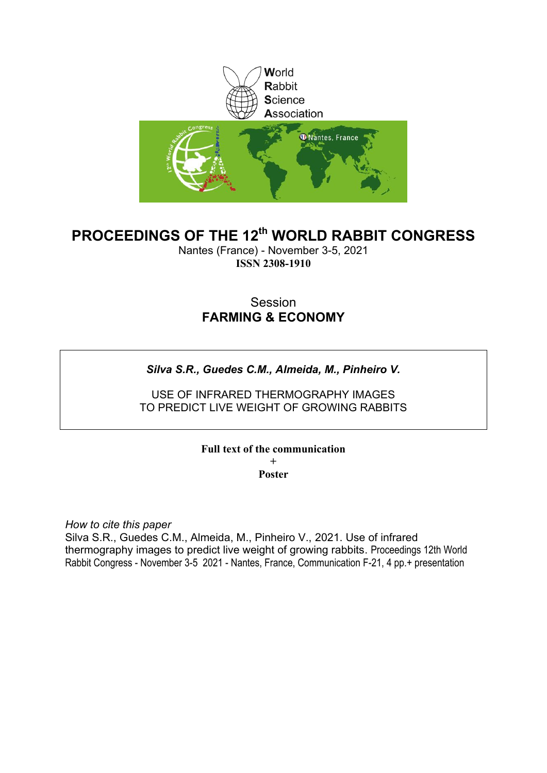

# **PROCEEDINGS OF THE 12th WORLD RABBIT CONGRESS**

Nantes (France) - November 3-5, 2021 **ISSN 2308-1910**

# Session **FARMING & ECONOMY**

# *Silva S.R., Guedes C.M., Almeida, M., Pinheiro V.*

USE OF INFRARED THERMOGRAPHY IMAGES TO PREDICT LIVE WEIGHT OF GROWING RABBITS

## **Full text of the communication**

**+ Poster**

*How to cite this paper*

Silva S.R., Guedes C.M., Almeida, M., Pinheiro V., 2021. Use of infrared thermography images to predict live weight of growing rabbits. Proceedings 12th World Rabbit Congress - November 3-5 2021 - Nantes, France, Communication F-21, 4 pp.+ presentation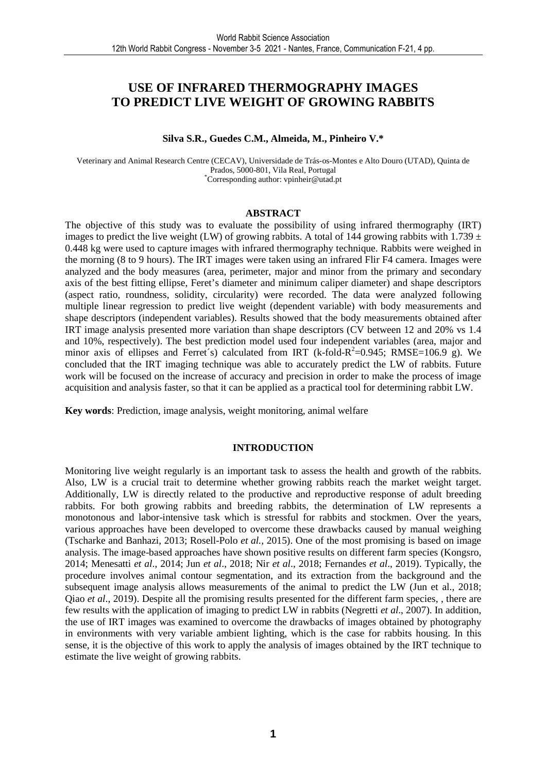## **USE OF INFRARED THERMOGRAPHY IMAGES TO PREDICT LIVE WEIGHT OF GROWING RABBITS**

#### **Silva S.R., Guedes C.M., Almeida, M., Pinheiro V.\***

Veterinary and Animal Research Centre (CECAV), Universidade de Trás-os-Montes e Alto Douro (UTAD), Quinta de Prados, 5000-801, Vila Real, Portugal \*Corresponding author: vpinheir@utad.pt

#### **ABSTRACT**

The objective of this study was to evaluate the possibility of using infrared thermography (IRT) images to predict the live weight (LW) of growing rabbits. A total of 144 growing rabbits with 1.739  $\pm$ 0.448 kg were used to capture images with infrared thermography technique. Rabbits were weighed in the morning (8 to 9 hours). The IRT images were taken using an infrared Flir F4 camera. Images were analyzed and the body measures (area, perimeter, major and minor from the primary and secondary axis of the best fitting ellipse, Feret's diameter and minimum caliper diameter) and shape descriptors (aspect ratio, roundness, solidity, circularity) were recorded. The data were analyzed following multiple linear regression to predict live weight (dependent variable) with body measurements and shape descriptors (independent variables). Results showed that the body measurements obtained after IRT image analysis presented more variation than shape descriptors (CV between 12 and 20% vs 1.4 and 10%, respectively). The best prediction model used four independent variables (area, major and minor axis of ellipses and Ferret's) calculated from IRT (k-fold- $R^2$ =0.945; RMSE=106.9 g). We concluded that the IRT imaging technique was able to accurately predict the LW of rabbits. Future work will be focused on the increase of accuracy and precision in order to make the process of image acquisition and analysis faster, so that it can be applied as a practical tool for determining rabbit LW.

**Key words**: Prediction, image analysis, weight monitoring, animal welfare

#### **INTRODUCTION**

Monitoring live weight regularly is an important task to assess the health and growth of the rabbits. Also, LW is a crucial trait to determine whether growing rabbits reach the market weight target. Additionally, LW is directly related to the productive and reproductive response of adult breeding rabbits. For both growing rabbits and breeding rabbits, the determination of LW represents a monotonous and labor-intensive task which is stressful for rabbits and stockmen. Over the years, various approaches have been developed to overcome these drawbacks caused by manual weighing (Tscharke and Banhazi, 2013; Rosell-Polo *et al.,* 2015). One of the most promising is based on image analysis. The image-based approaches have shown positive results on different farm species (Kongsro, 2014; Menesatti *et al*., 2014; Jun *et al*., 2018; Nir *et al*., 2018; Fernandes *et al*., 2019). Typically, the procedure involves animal contour segmentation, and its extraction from the background and the subsequent image analysis allows measurements of the animal to predict the LW (Jun et al., 2018; Qiao *et al*., 2019). Despite all the promising results presented for the different farm species, , there are few results with the application of imaging to predict LW in rabbits (Negretti *et al*., 2007). In addition, the use of IRT images was examined to overcome the drawbacks of images obtained by photography in environments with very variable ambient lighting, which is the case for rabbits housing. In this sense, it is the objective of this work to apply the analysis of images obtained by the IRT technique to estimate the live weight of growing rabbits.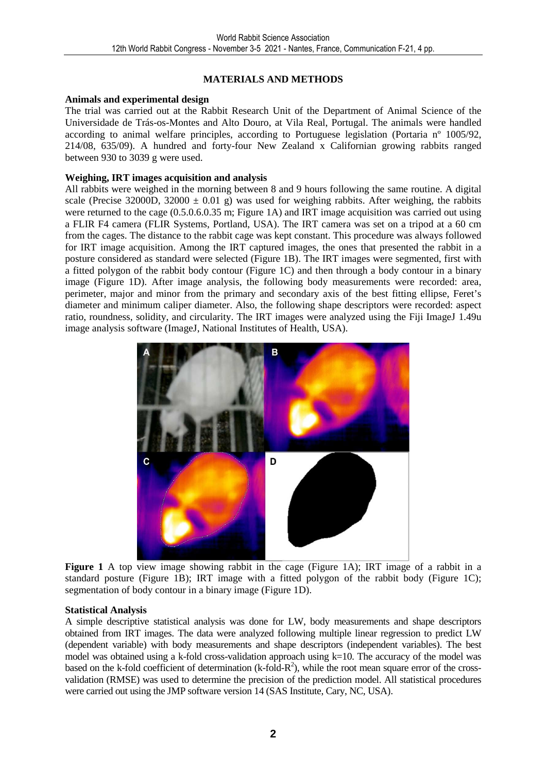## **MATERIALS AND METHODS**

## **Animals and experimental design**

The trial was carried out at the Rabbit Research Unit of the Department of Animal Science of the Universidade de Trás-os-Montes and Alto Douro, at Vila Real, Portugal. The animals were handled according to animal welfare principles, according to Portuguese legislation (Portaria nº 1005/92, 214/08, 635/09). A hundred and forty-four New Zealand x Californian growing rabbits ranged between 930 to 3039 g were used.

## **Weighing, IRT images acquisition and analysis**

All rabbits were weighed in the morning between 8 and 9 hours following the same routine. A digital scale (Precise 32000D, 32000  $\pm$  0.01 g) was used for weighing rabbits. After weighing, the rabbits were returned to the cage (0.5.0.6.0.35 m; Figure 1A) and IRT image acquisition was carried out using a FLIR F4 camera (FLIR Systems, Portland, USA). The IRT camera was set on a tripod at a 60 cm from the cages. The distance to the rabbit cage was kept constant. This procedure was always followed for IRT image acquisition. Among the IRT captured images, the ones that presented the rabbit in a posture considered as standard were selected (Figure 1B). The IRT images were segmented, first with a fitted polygon of the rabbit body contour (Figure 1C) and then through a body contour in a binary image (Figure 1D). After image analysis, the following body measurements were recorded: area, perimeter, major and minor from the primary and secondary axis of the best fitting ellipse, Feret's diameter and minimum caliper diameter. Also, the following shape descriptors were recorded: aspect ratio, roundness, solidity, and circularity. The IRT images were analyzed using the Fiji ImageJ 1.49u image analysis software (ImageJ, National Institutes of Health, USA).



Figure 1 A top view image showing rabbit in the cage (Figure 1A); IRT image of a rabbit in a standard posture (Figure 1B); IRT image with a fitted polygon of the rabbit body (Figure 1C); segmentation of body contour in a binary image (Figure 1D).

### **Statistical Analysis**

A simple descriptive statistical analysis was done for LW, body measurements and shape descriptors obtained from IRT images. The data were analyzed following multiple linear regression to predict LW (dependent variable) with body measurements and shape descriptors (independent variables). The best model was obtained using a k-fold cross-validation approach using  $k=10$ . The accuracy of the model was based on the k-fold coefficient of determination ( $k$ -fold- $R<sup>2</sup>$ ), while the root mean square error of the crossvalidation (RMSE) was used to determine the precision of the prediction model. All statistical procedures were carried out using the JMP software version 14 (SAS Institute, Cary, NC, USA).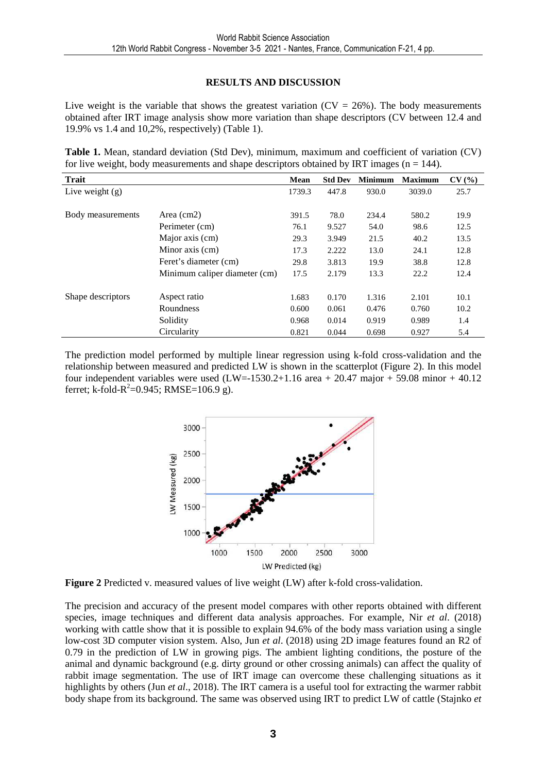## **RESULTS AND DISCUSSION**

Live weight is the variable that shows the greatest variation  $(CV = 26\%)$ . The body measurements obtained after IRT image analysis show more variation than shape descriptors (CV between 12.4 and 19.9% vs 1.4 and 10,2%, respectively) (Table 1).

**Table 1.** Mean, standard deviation (Std Dev), minimum, maximum and coefficient of variation (CV) for live weight, body measurements and shape descriptors obtained by IRT images ( $n = 144$ ).

| <b>Trait</b>      |                               | Mean   | <b>Std Dev</b> | <b>Minimum</b> | <b>Maximum</b> | CV(%) |
|-------------------|-------------------------------|--------|----------------|----------------|----------------|-------|
| Live weight $(g)$ |                               | 1739.3 | 447.8          | 930.0          | 3039.0         | 25.7  |
| Body measurements | Area $(cm2)$                  | 391.5  | 78.0           | 234.4          | 580.2          | 19.9  |
|                   | Perimeter (cm)                | 76.1   | 9.527          | 54.0           | 98.6           | 12.5  |
|                   | Major axis (cm)               | 29.3   | 3.949          | 21.5           | 40.2           | 13.5  |
|                   | Minor axis (cm)               | 17.3   | 2.222          | 13.0           | 24.1           | 12.8  |
|                   | Feret's diameter (cm)         | 29.8   | 3.813          | 19.9           | 38.8           | 12.8  |
|                   | Minimum caliper diameter (cm) | 17.5   | 2.179          | 13.3           | 22.2           | 12.4  |
| Shape descriptors | Aspect ratio                  | 1.683  | 0.170          | 1.316          | 2.101          | 10.1  |
|                   | Roundness                     | 0.600  | 0.061          | 0.476          | 0.760          | 10.2  |
|                   | Solidity                      | 0.968  | 0.014          | 0.919          | 0.989          | 1.4   |
|                   | Circularity                   | 0.821  | 0.044          | 0.698          | 0.927          | 5.4   |

The prediction model performed by multiple linear regression using k-fold cross-validation and the relationship between measured and predicted LW is shown in the scatterplot (Figure 2). In this model four independent variables were used  $(LW=1530.2+1.16$  area  $+20.47$  major  $+59.08$  minor  $+40.12$ ferret; k-fold- $R^2$ =0.945; RMSE=106.9 g).



**Figure 2** Predicted v. measured values of live weight (LW) after k-fold cross-validation.

The precision and accuracy of the present model compares with other reports obtained with different species, image techniques and different data analysis approaches. For example, Nir *et al*. (2018) working with cattle show that it is possible to explain 94.6% of the body mass variation using a single low-cost 3D computer vision system. Also, Jun *et al*. (2018) using 2D image features found an R2 of 0.79 in the prediction of LW in growing pigs. The ambient lighting conditions, the posture of the animal and dynamic background (e.g. dirty ground or other crossing animals) can affect the quality of rabbit image segmentation. The use of IRT image can overcome these challenging situations as it highlights by others (Jun *et al*., 2018). The IRT camera is a useful tool for extracting the warmer rabbit body shape from its background. The same was observed using IRT to predict LW of cattle (Stajnko *et*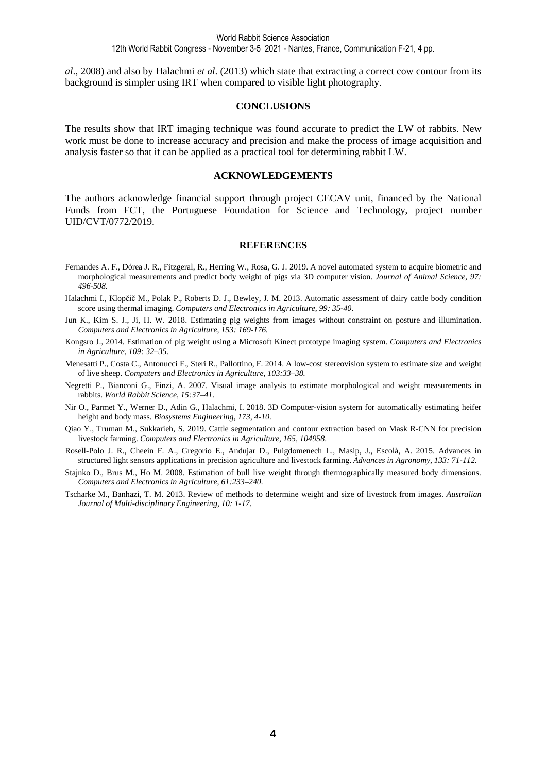*al*., 2008) and also by Halachmi *et al*. (2013) which state that extracting a correct cow contour from its background is simpler using IRT when compared to visible light photography.

### **CONCLUSIONS**

The results show that IRT imaging technique was found accurate to predict the LW of rabbits. New work must be done to increase accuracy and precision and make the process of image acquisition and analysis faster so that it can be applied as a practical tool for determining rabbit LW.

#### **ACKNOWLEDGEMENTS**

The authors acknowledge financial support through project CECAV unit, financed by the National Funds from FCT, the Portuguese Foundation for Science and Technology, project number UID/CVT/0772/2019.

#### **REFERENCES**

- Fernandes A. F., Dórea J. R., Fitzgeral, R., Herring W., Rosa, G. J. 2019. A novel automated system to acquire biometric and morphological measurements and predict body weight of pigs via 3D computer vision. *Journal of Animal Science, 97: 496-508.*
- Halachmi I., Klopčič M., Polak P., Roberts D. J., Bewley, J. M. 2013. Automatic assessment of dairy cattle body condition score using thermal imaging. *Computers and Electronics in Agriculture, 99: 35-40.*
- Jun K., Kim S. J., Ji, H. W. 2018. Estimating pig weights from images without constraint on posture and illumination. *Computers and Electronics in Agriculture, 153: 169-176.*
- Kongsro J., 2014. Estimation of pig weight using a Microsoft Kinect prototype imaging system. *Computers and Electronics in Agriculture*, *109: 32–35.*
- Menesatti P., Costa C., Antonucci F., Steri R., Pallottino, F. 2014. A low-cost stereovision system to estimate size and weight of live sheep. *Computers and Electronics in Agriculture*, *103:33–38.*
- Negretti P., Bianconi G., Finzi, A. 2007. Visual image analysis to estimate morphological and weight measurements in rabbits. *World Rabbit Science*, *15:37–41.*
- Nir O., Parmet Y., Werner D., Adin G., Halachmi, I. 2018. 3D Computer-vision system for automatically estimating heifer height and body mass. *Biosystems Engineering*, *173, 4-10.*
- Qiao Y., Truman M., Sukkarieh, S. 2019. Cattle segmentation and contour extraction based on Mask R-CNN for precision livestock farming. *Computers and Electronics in Agriculture*, *165, 104958*.
- Rosell-Polo J. R., Cheein F. A., Gregorio E., Andujar D., Puigdomenech L., Masip, J., Escolà, A. 2015. Advances in structured light sensors applications in precision agriculture and livestock farming. *Advances in Agronomy*, *133: 71-112.*
- Stajnko D., Brus M., Ho M. 2008. Estimation of bull live weight through thermographically measured body dimensions. *Computers and Electronics in Agriculture, 61:233–240.*
- Tscharke M., Banhazi, T. M. 2013. Review of methods to determine weight and size of livestock from images. *Australian Journal of Multi-disciplinary Engineering, 10: 1-17.*